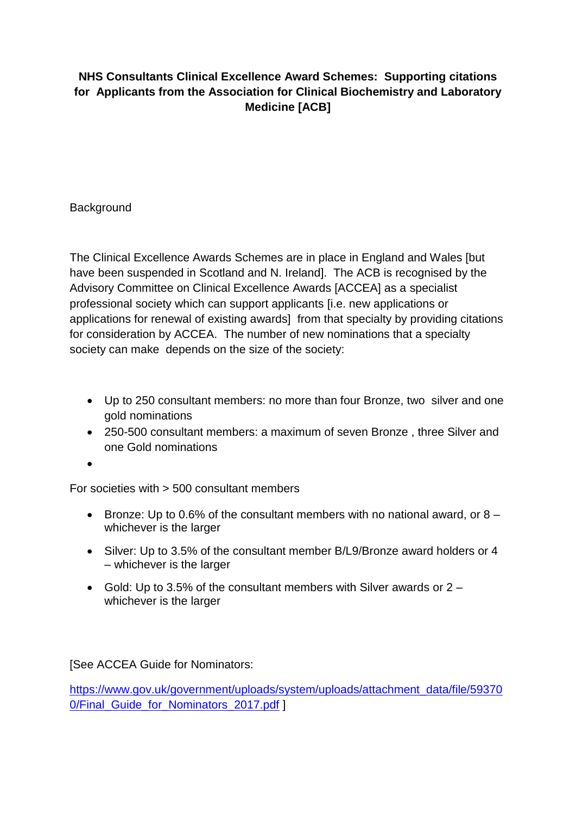## **NHS Consultants Clinical Excellence Award Schemes: Supporting citations for Applicants from the Association for Clinical Biochemistry and Laboratory Medicine [ACB]**

**Background** 

The Clinical Excellence Awards Schemes are in place in England and Wales [but have been suspended in Scotland and N. Ireland]. The ACB is recognised by the Advisory Committee on Clinical Excellence Awards [ACCEA] as a specialist professional society which can support applicants [i.e. new applications or applications for renewal of existing awards] from that specialty by providing citations for consideration by ACCEA. The number of new nominations that a specialty society can make depends on the size of the society:

- Up to 250 consultant members: no more than four Bronze, two silver and one gold nominations
- 250-500 consultant members: a maximum of seven Bronze , three Silver and one Gold nominations

 $\bullet$ 

For societies with > 500 consultant members

- **Bronze: Up to 0.6% of the consultant members with no national award, or 8** whichever is the larger
- Silver: Up to 3.5% of the consultant member B/L9/Bronze award holders or 4 – whichever is the larger
- Gold: Up to 3.5% of the consultant members with Silver awards or  $2$ whichever is the larger

[See ACCEA Guide for Nominators:

[https://www.gov.uk/government/uploads/system/uploads/attachment\\_data/file/59370](https://www.gov.uk/government/uploads/system/uploads/attachment_data/file/593700/Final_Guide_for_Nominators_2017.pdf) 0/Final Guide for Nominators 2017.pdf ]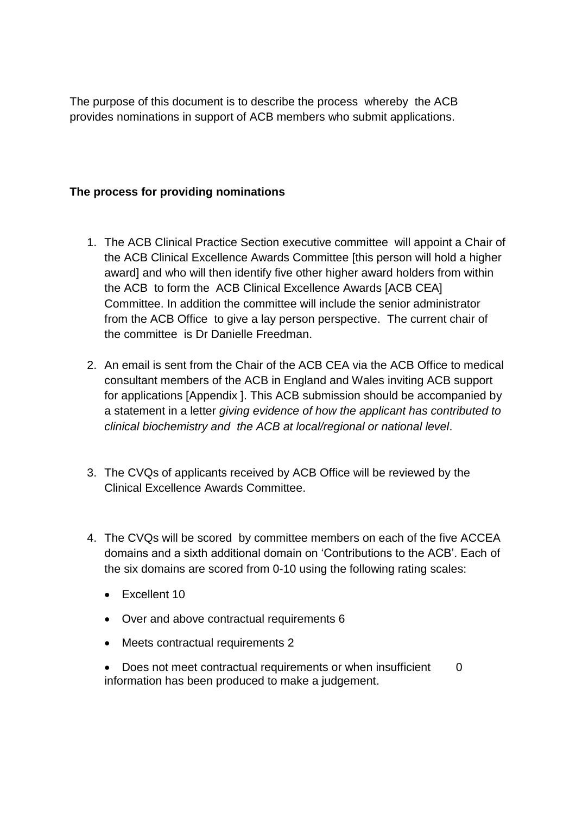The purpose of this document is to describe the process whereby the ACB provides nominations in support of ACB members who submit applications.

## **The process for providing nominations**

- 1. The ACB Clinical Practice Section executive committee will appoint a Chair of the ACB Clinical Excellence Awards Committee [this person will hold a higher award] and who will then identify five other higher award holders from within the ACB to form the ACB Clinical Excellence Awards [ACB CEA] Committee. In addition the committee will include the senior administrator from the ACB Office to give a lay person perspective. The current chair of the committee is Dr Danielle Freedman.
- 2. An email is sent from the Chair of the ACB CEA via the ACB Office to medical consultant members of the ACB in England and Wales inviting ACB support for applications [Appendix ]. This ACB submission should be accompanied by a statement in a letter *giving evidence of how the applicant has contributed to clinical biochemistry and the ACB at local/regional or national level*.
- 3. The CVQs of applicants received by ACB Office will be reviewed by the Clinical Excellence Awards Committee.
- 4. The CVQs will be scored by committee members on each of the five ACCEA domains and a sixth additional domain on 'Contributions to the ACB'. Each of the six domains are scored from 0-10 using the following rating scales:
	- Excellent 10
	- Over and above contractual requirements 6
	- Meets contractual requirements 2
	- Does not meet contractual requirements or when insufficient 0 information has been produced to make a judgement.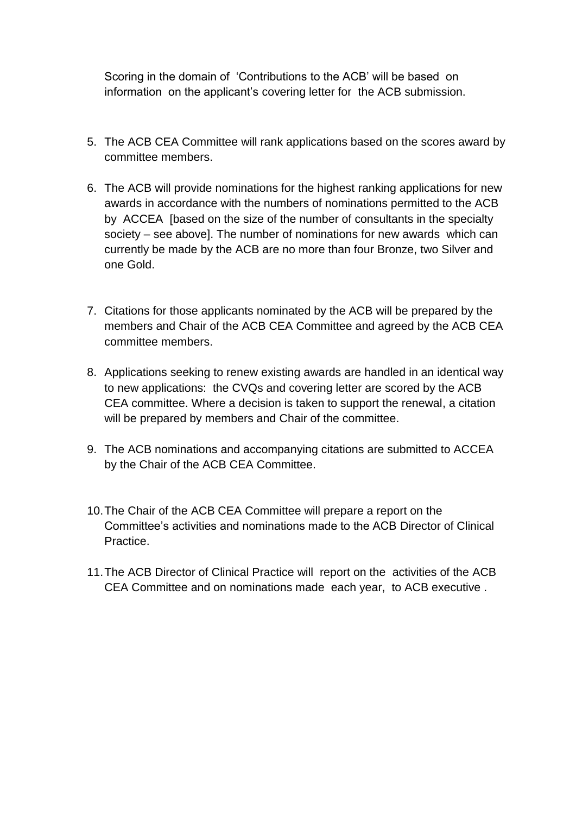Scoring in the domain of 'Contributions to the ACB' will be based on information on the applicant's covering letter for the ACB submission.

- 5. The ACB CEA Committee will rank applications based on the scores award by committee members.
- 6. The ACB will provide nominations for the highest ranking applications for new awards in accordance with the numbers of nominations permitted to the ACB by ACCEA [based on the size of the number of consultants in the specialty society – see above]. The number of nominations for new awards which can currently be made by the ACB are no more than four Bronze, two Silver and one Gold.
- 7. Citations for those applicants nominated by the ACB will be prepared by the members and Chair of the ACB CEA Committee and agreed by the ACB CEA committee members.
- 8. Applications seeking to renew existing awards are handled in an identical way to new applications: the CVQs and covering letter are scored by the ACB CEA committee. Where a decision is taken to support the renewal, a citation will be prepared by members and Chair of the committee.
- 9. The ACB nominations and accompanying citations are submitted to ACCEA by the Chair of the ACB CEA Committee.
- 10.The Chair of the ACB CEA Committee will prepare a report on the Committee's activities and nominations made to the ACB Director of Clinical Practice.
- 11.The ACB Director of Clinical Practice will report on the activities of the ACB CEA Committee and on nominations made each year, to ACB executive .